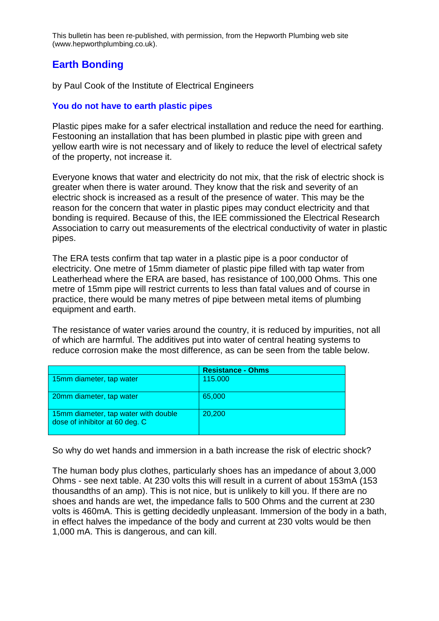This bulletin has been re-published, with permission, from the Hepworth Plumbing web site (www.hepworthplumbing.co.uk).

# **Earth Bonding**

by Paul Cook of the Institute of Electrical Engineers

### **You do not have to earth plastic pipes**

Plastic pipes make for a safer electrical installation and reduce the need for earthing. Festooning an installation that has been plumbed in plastic pipe with green and yellow earth wire is not necessary and of likely to reduce the level of electrical safety of the property, not increase it.

Everyone knows that water and electricity do not mix, that the risk of electric shock is greater when there is water around. They know that the risk and severity of an electric shock is increased as a result of the presence of water. This may be the reason for the concern that water in plastic pipes may conduct electricity and that bonding is required. Because of this, the IEE commissioned the Electrical Research Association to carry out measurements of the electrical conductivity of water in plastic pipes.

The ERA tests confirm that tap water in a plastic pipe is a poor conductor of electricity. One metre of 15mm diameter of plastic pipe filled with tap water from Leatherhead where the ERA are based, has resistance of 100,000 Ohms. This one metre of 15mm pipe will restrict currents to less than fatal values and of course in practice, there would be many metres of pipe between metal items of plumbing equipment and earth.

The resistance of water varies around the country, it is reduced by impurities, not all of which are harmful. The additives put into water of central heating systems to reduce corrosion make the most difference, as can be seen from the table below.

|                                                                        | <b>Resistance - Ohms</b> |
|------------------------------------------------------------------------|--------------------------|
| 15mm diameter, tap water                                               | 115.000                  |
| 20mm diameter, tap water                                               | 65,000                   |
| 15mm diameter, tap water with double<br>dose of inhibitor at 60 deg. C | 20,200                   |

So why do wet hands and immersion in a bath increase the risk of electric shock?

The human body plus clothes, particularly shoes has an impedance of about 3,000 Ohms - see next table. At 230 volts this will result in a current of about 153mA (153 thousandths of an amp). This is not nice, but is unlikely to kill you. If there are no shoes and hands are wet, the impedance falls to 500 Ohms and the current at 230 volts is 460mA. This is getting decidedly unpleasant. Immersion of the body in a bath, in effect halves the impedance of the body and current at 230 volts would be then 1,000 mA. This is dangerous, and can kill.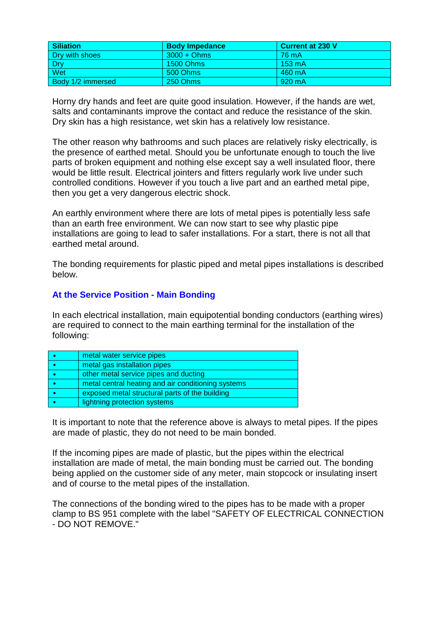| <b>Siliation</b>  | <b>Body Impedance</b> | Current at 230 V |
|-------------------|-----------------------|------------------|
| Dry with shoes    | $3000 + Ohms$         | 76 mA            |
| Dry               | 1500 Ohms             | $153 \text{ mA}$ |
| Wet               | 500 Ohms              | 460 mA           |
| Body 1/2 immersed | 250 Ohms              | 920 mA           |

Horny dry hands and feet are quite good insulation. However, if the hands are wet, salts and contaminants improve the contact and reduce the resistance of the skin. Dry skin has a high resistance, wet skin has a relatively low resistance.

The other reason why bathrooms and such places are relatively risky electrically, is the presence of earthed metal. Should you be unfortunate enough to touch the live parts of broken equipment and nothing else except say a well insulated floor, there would be little result. Electrical jointers and fitters regularly work live under such controlled conditions. However if you touch a live part and an earthed metal pipe, then you get a very dangerous electric shock.

An earthly environment where there are lots of metal pipes is potentially less safe than an earth free environment. We can now start to see why plastic pipe installations are going to lead to safer installations. For a start, there is not all that earthed metal around.

The bonding requirements for plastic piped and metal pipes installations is described below.

## **At the Service Position - Main Bonding**

In each electrical installation, main equipotential bonding conductors (earthing wires) are required to connect to the main earthing terminal for the installation of the following:

| metal water service pipes                          |
|----------------------------------------------------|
| metal gas installation pipes                       |
| other metal service pipes and ducting              |
| metal central heating and air conditioning systems |
| exposed metal structural parts of the building     |
| lightning protection systems                       |

It is important to note that the reference above is always to metal pipes. If the pipes are made of plastic, they do not need to be main bonded.

If the incoming pipes are made of plastic, but the pipes within the electrical installation are made of metal, the main bonding must be carried out. The bonding being applied on the customer side of any meter, main stopcock or insulating insert and of course to the metal pipes of the installation.

The connections of the bonding wired to the pipes has to be made with a proper clamp to BS 951 complete with the label "SAFETY OF ELECTRICAL CONNECTION - DO NOT REMOVE."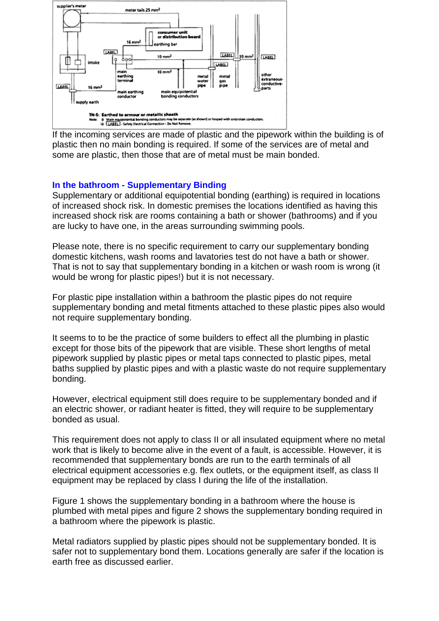

If the incoming services are made of plastic and the pipework within the building is of plastic then no main bonding is required. If some of the services are of metal and some are plastic, then those that are of metal must be main bonded.

#### **In the bathroom - Supplementary Binding**

Supplementary or additional equipotential bonding (earthing) is required in locations of increased shock risk. In domestic premises the locations identified as having this increased shock risk are rooms containing a bath or shower (bathrooms) and if you are lucky to have one, in the areas surrounding swimming pools.

Please note, there is no specific requirement to carry our supplementary bonding domestic kitchens, wash rooms and lavatories test do not have a bath or shower. That is not to say that supplementary bonding in a kitchen or wash room is wrong (it would be wrong for plastic pipes!) but it is not necessary.

For plastic pipe installation within a bathroom the plastic pipes do not require supplementary bonding and metal fitments attached to these plastic pipes also would not require supplementary bonding.

It seems to to be the practice of some builders to effect all the plumbing in plastic except for those bits of the pipework that are visible. These short lengths of metal pipework supplied by plastic pipes or metal taps connected to plastic pipes, metal baths supplied by plastic pipes and with a plastic waste do not require supplementary bonding.

However, electrical equipment still does require to be supplementary bonded and if an electric shower, or radiant heater is fitted, they will require to be supplementary bonded as usual.

This requirement does not apply to class II or all insulated equipment where no metal work that is likely to become alive in the event of a fault, is accessible. However, it is recommended that supplementary bonds are run to the earth terminals of all electrical equipment accessories e.g. flex outlets, or the equipment itself, as class II equipment may be replaced by class I during the life of the installation.

Figure 1 shows the supplementary bonding in a bathroom where the house is plumbed with metal pipes and figure 2 shows the supplementary bonding required in a bathroom where the pipework is plastic.

Metal radiators supplied by plastic pipes should not be supplementary bonded. It is safer not to supplementary bond them. Locations generally are safer if the location is earth free as discussed earlier.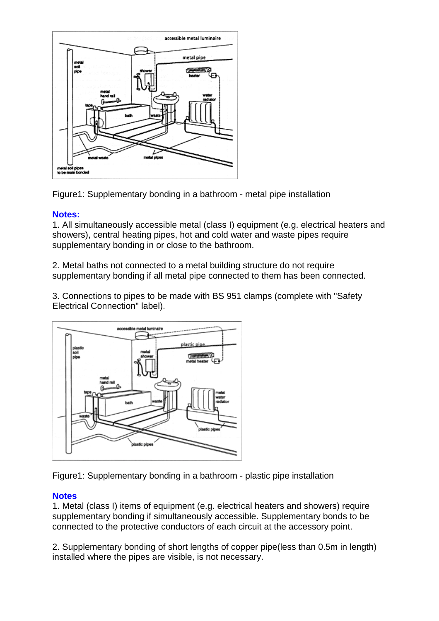

Figure1: Supplementary bonding in a bathroom - metal pipe installation

#### **Notes:**

1. All simultaneously accessible metal (class I) equipment (e.g. electrical heaters and showers), central heating pipes, hot and cold water and waste pipes require supplementary bonding in or close to the bathroom.

2. Metal baths not connected to a metal building structure do not require supplementary bonding if all metal pipe connected to them has been connected.

3. Connections to pipes to be made with BS 951 clamps (complete with "Safety Electrical Connection" label).



Figure1: Supplementary bonding in a bathroom - plastic pipe installation

#### **Notes**

1. Metal (class I) items of equipment (e.g. electrical heaters and showers) require supplementary bonding if simultaneously accessible. Supplementary bonds to be connected to the protective conductors of each circuit at the accessory point.

2. Supplementary bonding of short lengths of copper pipe(less than 0.5m in length) installed where the pipes are visible, is not necessary.